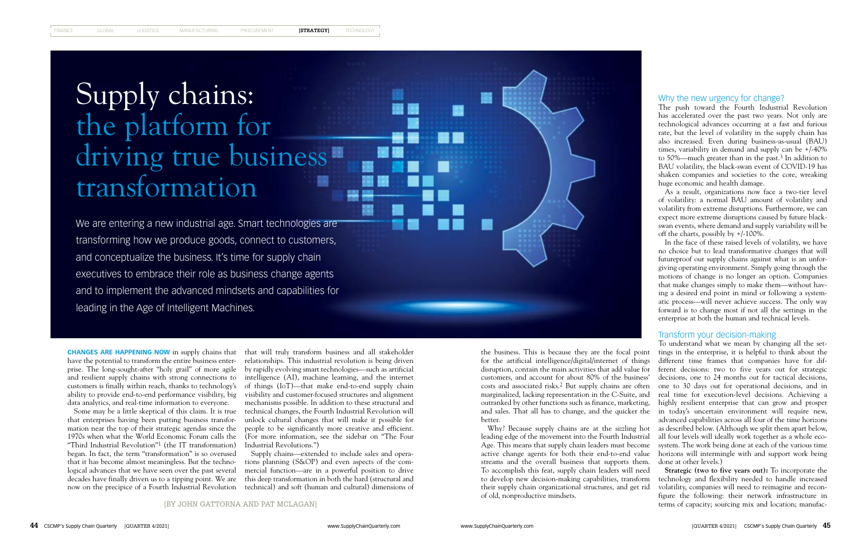[BY JOHN GATTORNA AND PAT MCLAGAN]

**CHANGES ARE HAPPENING NOW** in supply chains that have the potential to transform the entire business enterprise. The long-sought-after "holy grail" of more agile and resilient supply chains with strong connections to customers is finally within reach, thanks to technology's ability to provide end-to-end performance visibility, big data analytics, and real-time information to everyone.

that enterprises having been putting business transformation near the top of their strategic agendas since the 1970s when what the World Economic Forum calls the "Third Industrial Revolution"1 (the IT transformation) began. In fact, the term "transformation" is so overused that it has become almost meaningless. But the technological advances that we have seen over the past several

# Supply chains: the platform for driving true business transformation

Some may be a little skeptical of this claim. It is true technical changes, the Fourth Industrial Revolution will that will truly transform business and all stakeholder relationships. This industrial revolution is being driven by rapidly evolving smart technologies—such as artificial intelligence (AI), machine learning, and the internet of things (IoT)—that make end-to-end supply chain visibility and customer-focused structures and alignment mechanisms possible. In addition to these structural and unlock cultural changes that will make it possible for people to be significantly more creative and efficient. (For more information, see the sidebar on "The Four Industrial Revolutions.")

decades have finally driven us to a tipping point. We are this deep transformation in both the hard (structural and now on the precipice of a Fourth Industrial Revolution technical) and soft (human and cultural) dimensions of Supply chains—extended to include sales and operations planning (S&OP) and even aspects of the commercial function—are in a powerful position to drive

We are entering a new industrial age. Smart technologies are transforming how we produce goods, connect to customers, and conceptualize the business. It's time for supply chain executives to embrace their role as business change agents and to implement the advanced mindsets and capabilities for leading in the Age of Intelligent Machines.

the business. This is because they are the focal point for the artificial intelligence/digital/internet of things disruption, contain the main activities that add value for customers, and account for about 80% of the business' marginalized, lacking representation in the C-Suite, and outranked by other functions such as finance, marketing, better.

Why? Because supply chains are at the sizzling hot leading edge of the movement into the Fourth Industrial Age. This means that supply chain leaders must become active change agents for both their end-to-end value streams and the overall business that supports them. To accomplish this feat, supply chain leaders will need to develop new decision-making capabilities, transform their supply chain organizational structures, and get rid of old, nonproductive mindsets.

## Why the new urgency for change?

The push toward the Fourth Industrial Revolution has accelerated over the past two years. Not only are technological advances occurring at a fast and furious rate, but the level of volatility in the supply chain has also increased. Even during business-as-usual (BAU) times, variability in demand and supply can be +/-40% to 50%—much greater than in the past.<sup>3</sup> In addition to BAU volatility, the black-swan event of COVID-19 has shaken companies and societies to the core, wreaking huge economic and health damage.

As a result, organizations now face a two-tier level of volatility: a normal BAU amount of volatility and volatility from extreme disruptions. Furthermore, we can expect more extreme disruptions caused by future blackswan events, where demand and supply variability will be off the charts, possibly by +/-100%.

costs and associated risks.2 But supply chains are often one to 30 days out for operational decisions, and in and sales. That all has to change, and the quicker the in today's uncertain environment will require new, To understand what we mean by changing all the settings in the enterprise, it is helpful to think about the different time frames that companies have for different decisions: two to five years out for strategic decisions, one to 24 months out for tactical decisions, real time for execution-level decisions. Achieving a highly resilient enterprise that can grow and prosper advanced capabilities across all four of the time horizons as described below. (Although we split them apart below, all four levels will ideally work together as a whole ecosystem. The work being done at each of the various time horizons will intermingle with and support work being done at other levels.)

In the face of these raised levels of volatility, we have no choice but to lead transformative changes that will futureproof our supply chains against what is an unforgiving operating environment. Simply going through the motions of change is no longer an option. Companies that make changes simply to make them—without having a desired end point in mind or following a systematic process—will never achieve success. The only way forward is to change most if not all the settings in the enterprise at both the human and technical levels.

## Transform your decision-making

**Strategic (two to five years out):** To incorporate the technology and flexibility needed to handle increased volatility, companies will need to reimagine and reconfigure the following: their network infrastructure in terms of capacity; sourcing mix and location; manufac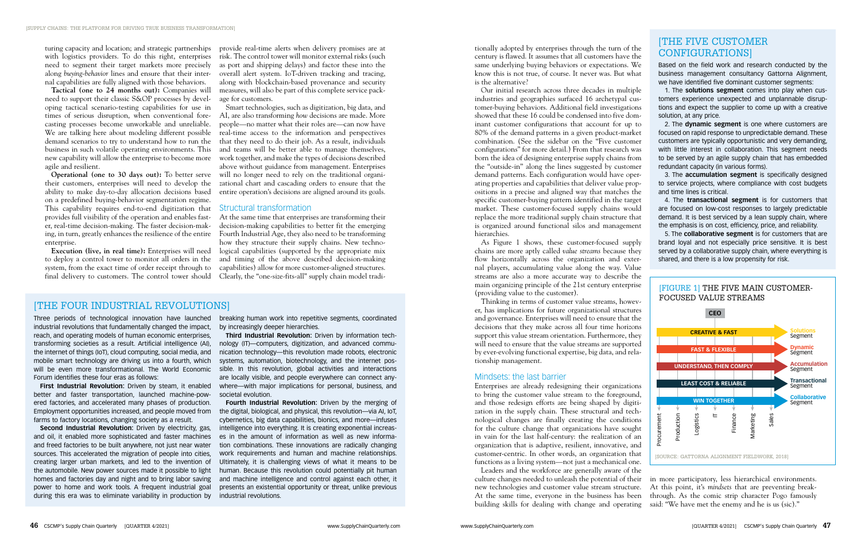turing capacity and location; and strategic partnerships with logistics providers. To do this right, enterprises need to segment their target markets more precisely along *buying-behavior* lines and ensure that their internal capabilities are fully aligned with those behaviors.

**Tactical (one to 24 months out):** Companies will need to support their classic S&OP processes by developing tactical scenario-testing capabilities for use in times of serious disruption, when conventional forecasting processes become unworkable and unreliable. We are talking here about modeling different possible demand scenarios to try to understand how to run the business in such volatile operating environments. This new capability will allow the enterprise to become more agile and resilient.

**Operational (one to 30 days out):** To better serve their customers, enterprises will need to develop the ability to make day-to-day allocation decisions based on a predefined buying-behavior segmentation regime. This capability requires end-to-end digitization that provides full visibility of the operation and enables faster, real-time decision-making. The faster decision-making, in turn, greatly enhances the resilience of the entire enterprise.

**Execution (live, in real time):** Enterprises will need logical capabilities (supported by the appropriate mix At the same time that enterprises are transforming their decision-making capabilities to better fit the emerging Fourth Industrial Age, they also need to be transforming how they structure their supply chains. New technoand timing of the above described decision-making capabilities) allow for more customer-aligned structures. Clearly, the "one-size-fits-all" supply chain model tradi-

to deploy a control tower to monitor all orders in the system, from the exact time of order receipt through to final delivery to customers. The control tower should

provide real-time alerts when delivery promises are at risk. The control tower will monitor external risks (such as port and shipping delays) and factor these into the overall alert system. IoT-driven tracking and tracing, along with blockchain-based provenance and security measures, will also be part of this complete service package for customers.

Smart technologies, such as digitization, big data, and AI, are also transforming *how* decisions are made. More people—no matter what their roles are—can now have real-time access to the information and perspectives that they need to do their job. As a result, individuals and teams will be better able to manage themselves, work together, and make the types of decisions described above without guidance from management. Enterprises will no longer need to rely on the traditional organizational chart and cascading orders to ensure that the entire operation's decisions are aligned around its goals.

## Structural transformation

tionally adopted by enterprises through the turn of the century is flawed. It assumes that all customers have the same underlying buying behaviors or expectations. We know this is not true, of course. It never was. But what is the alternative?

Our initial research across three decades in multiple industries and geographies surfaced 16 archetypal customer-buying behaviors. Additional field investigations showed that these 16 could be condensed into five dominant customer configurations that account for up to 80% of the demand patterns in a given product-market combination. (See the sidebar on the "Five customer configurations" for more detail.) From that research was born the idea of designing enterprise supply chains from the "outside-in" along the lines suggested by customer demand patterns. Each configuration would have operating properties and capabilities that deliver value propositions in a precise and aligned way that matches the specific customer-buying pattern identified in the target market. These customer-focused supply chains would replace the more traditional supply chain structure that is organized around functional silos and management hierarchies.

As Figure 1 shows, these customer-focused supply chains are more aptly called *value streams* because they flow horizontally across the organization and external players, accumulating value along the way. Value streams are also a more accurate way to describe the main organizing principle of the 21st century enterprise (providing value to the customer).

Employment opportunities increased, and people moved from the digital, biological, and physical, this revolution—via AI, IoT, **Fourth Industrial Revolution:** Driven by the merging of cybernetics, big data capabilities, bionics, and more—infuses intelligence into everything. It is creating exponential increases in the amount of information as well as new information combinations. These innovations are radically changing work requirements and human and machine relationships. Ultimately, it is challenging views of what it means to be human. Because this revolution could potentially pit human and machine intelligence and control against each other, it presents an existential opportunity or threat, unlike previous industrial revolutions.

## **[THE FIVE CUSTOMER** CONFIGURATIONS]

Thinking in terms of customer value streams, however, has implications for future organizational structures and governance. Enterprises will need to ensure that the decisions that they make across all four time horizons support this value stream orientation. Furthermore, they will need to ensure that the value streams are supported by ever-evolving functional expertise, big data, and relationship management.

## Mindsets: the last barrier

Enterprises are already redesigning their organizations Segment to bring the customer value stream to the foreground, **WIN TOGETHER** and those redesign efforts are being shaped by digiti-Segment zation in the supply chain. These structural and tech-Marketing Logistics Finance Procurement  $\equiv$ Sales Procurement Production Production nological changes are finally creating the conditions for the culture change that organizations have sought in vain for the last half-century: the realization of an organization that is adaptive, resilient, innovative, and customer-centric. In other words, an organization that [SOURCE: GATTORNA ALIGNMENT FIELDWORK, 2018] functions as a living system—not just a mechanical one. Leaders and the workforce are generally aware of the culture changes needed to unleash the potential of their in more participatory, less hierarchical environments. new technologies and customer value stream structure. At this point, it's *mindsets* that are preventing break-At the same time, everyone in the business has been through. As the comic strip character Pogo famously building skills for dealing with change and operating said: "We have met the enemy and he is us (sic)."



## [THE FOUR INDUSTRIAL REVOLUTIONS]

Three periods of technological innovation have launched industrial revolutions that fundamentally changed the impact, reach, and operating models of human economic enterprises, transforming societies as a result. Artificial intelligence (AI), the internet of things (IoT), cloud computing, social media, and mobile smart technology are driving us into a fourth, which will be even more transformational. The World Economic Forum identifies these four eras as follows:

**First Industrial Revolution:** Driven by steam, it enabled better and faster transportation, launched machine-powered factories, and accelerated many phases of production. farms to factory locations, changing society as a result.

**Second Industrial Revolution:** Driven by electricity, gas, and oil, it enabled more sophisticated and faster machines and freed factories to be built anywhere, not just near water sources. This accelerated the migration of people into cities, creating larger urban markets, and led to the invention of the automobile. New power sources made it possible to light homes and factories day and night and to bring labor saving power to home and work tools. A frequent industrial goal during this era was to eliminate variability in production by

breaking human work into repetitive segments, coordinated by increasingly deeper hierarchies.

**Third Industrial Revolution:** Driven by information technology (IT)—computers, digitization, and advanced communication technology—this revolution made robots, electronic systems, automation, biotechnology, and the internet possible. In this revolution, global activities and interactions are locally visible, and people everywhere can connect anywhere—with major implications for personal, business, and societal evolution.

Based on the field work and research conducted by the business management consultancy Gattorna Alignment, we have identified five dominant customer segments:

1. The **solutions segment** comes into play when customers experience unexpected and unplannable disruptions and expect the supplier to come up with a creative solution, at any price.

2. The **dynamic segment** is one where customers are focused on rapid response to unpredictable demand. These customers are typically opportunistic and very demanding, with little interest in collaboration. This segment needs to be served by an agile supply chain that has embedded redundant capacity (in various forms).

3. The **accumulation segment** is specifically designed to service projects, where compliance with cost budgets and time lines is critical.

4. The **transactional segment** is for customers that are focused on low-cost responses to largely predictable demand. It is best serviced by a lean supply chain, where the emphasis is on cost, efficiency, price, and reliability.

5. The **collaborative segment** is for customers that are brand loyal and not especially price sensitive. It is best served by a collaborative supply chain, where everything is shared, and there is a low propensity for risk.